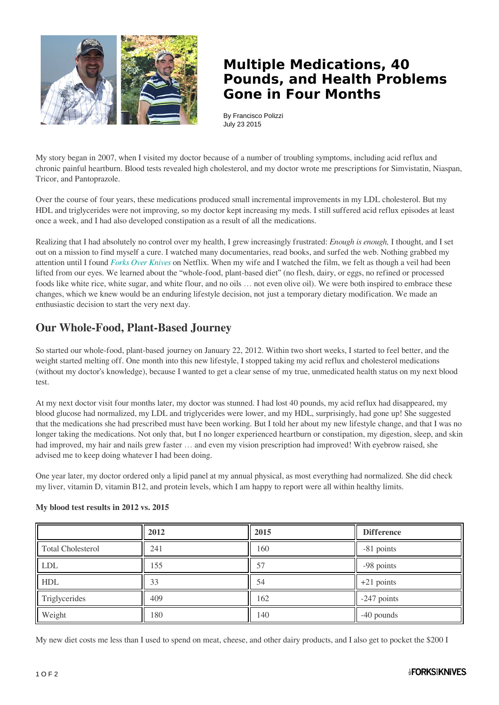

## **Multiple Medications, 40 Pounds, and Health Problems Gone in Four Months**

By Francisco Polizzi July 23 2015

My story began in 2007, when I visited my doctor because of a number of troubling symptoms, including acid reflux and chronic painful heartburn. Blood tests revealed high cholesterol, and my doctor wrote me prescriptions for Simvistatin, Niaspan, Tricor, and Pantoprazole.

Over the course of four years, these medications produced small incremental improvements in my LDL cholesterol. But my HDL and triglycerides were not improving, so my doctor kept increasing my meds. I still suffered acid reflux episodes at least once a week, and I had also developed constipation as a result of all the medications.

Realizing that I had absolutely no control over my health, I grew increasingly frustrated: *Enough is enough,* I thought, and I set out on a mission to find myself a cure. I watched many documentaries, read books, and surfed the web. Nothing grabbed my attention until I found *[Forks Over Knives](http://www.forksoverknives.com/the-film/)* on Netflix. When my wife and I watched the film, we felt as though a veil had been lifted from our eyes. We learned about the "whole-food, plant-based diet" (no flesh, dairy, or eggs, no refined or processed foods like white rice, white sugar, and white flour, and no oils … not even olive oil). We were both inspired to embrace these changes, which we knew would be an enduring lifestyle decision, not just a temporary dietary modification. We made an enthusiastic decision to start the very next day.

## **Our Whole-Food, Plant-Based Journey**

So started our whole-food, plant-based journey on January 22, 2012. Within two short weeks, I started to feel better, and the weight started melting off. One month into this new lifestyle, I stopped taking my acid reflux and cholesterol medications (without my doctor's knowledge), because I wanted to get a clear sense of my true, unmedicated health status on my next blood test.

At my next doctor visit four months later, my doctor was stunned. I had lost 40 pounds, my acid reflux had disappeared, my blood glucose had normalized, my LDL and triglycerides were lower, and my HDL, surprisingly, had gone up! She suggested that the medications she had prescribed must have been working. But I told her about my new lifestyle change, and that I was no longer taking the medications. Not only that, but I no longer experienced heartburn or constipation, my digestion, sleep, and skin had improved, my hair and nails grew faster  $\ldots$  and even my vision prescription had improved! With eyebrow raised, she advised me to keep doing whatever I had been doing.

One year later, my doctor ordered only a lipid panel at my annual physical, as most everything had normalized. She did check my liver, vitamin D, vitamin B12, and protein levels, which I am happy to report were all within healthy limits.

|                          | 2012 | 2015 | <b>Difference</b> |
|--------------------------|------|------|-------------------|
| <b>Total Cholesterol</b> | 241  | 160  | -81 points        |
| <b>LDL</b>               | .55  | 57   | -98 points        |
| <b>HDL</b>               | 33   | 54   | $+21$ points      |
| Triglycerides            | 409  | 162  | -247 points       |
| Weight                   | 180  | 140  | -40 pounds        |

## **My blood test results in 2012 vs. 2015**

My new diet costs me less than I used to spend on meat, cheese, and other dairy products, and I also get to pocket the \$200 I